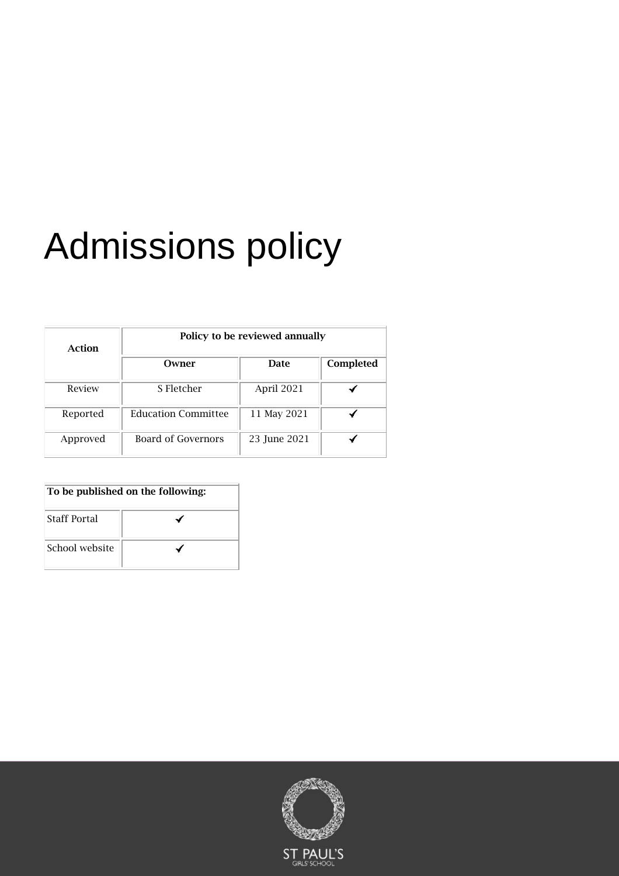# Admissions policy

| Action   | Policy to be reviewed annually |              |           |
|----------|--------------------------------|--------------|-----------|
|          | Owner                          | Date         | Completed |
| Review   | S Fletcher                     | April 2021   |           |
| Reported | <b>Education Committee</b>     | 11 May 2021  |           |
| Approved | Board of Governors             | 23 June 2021 |           |

| To be published on the following: |  |  |
|-----------------------------------|--|--|
| <b>Staff Portal</b>               |  |  |
| School website                    |  |  |

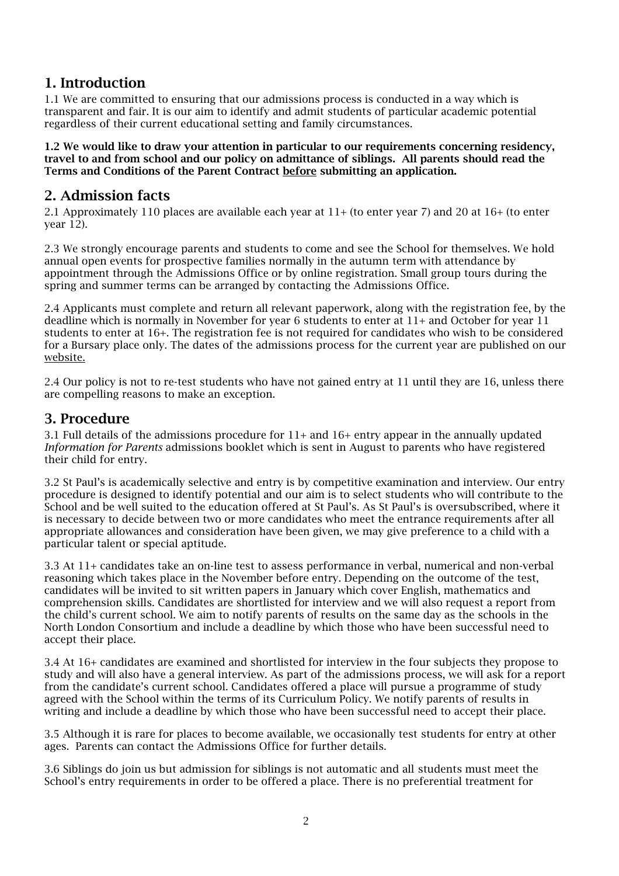## 1. Introduction

1.1 We are committed to ensuring that our admissions process is conducted in a way which is transparent and fair. It is our aim to identify and admit students of particular academic potential regardless of their current educational setting and family circumstances.

1.2 We would like to draw your attention in particular to our requirements concerning residency, travel to and from school and our policy on admittance of siblings. All parents should read the Terms and Conditions of the Parent Contract before submitting an application.

## 2. Admission facts

2.1 Approximately 110 places are available each year at 11+ (to enter year 7) and 20 at 16+ (to enter year 12).

2.3 We strongly encourage parents and students to come and see the School for themselves. We hold annual open events for prospective families normally in the autumn term with attendance by appointment through the Admissions Office or by online registration. Small group tours during the spring and summer terms can be arranged by contacting the Admissions Office.

2.4 Applicants must complete and return all relevant paperwork, along with the registration fee, by the deadline which is normally in November for year 6 students to enter at 11+ and October for year 11 students to enter at 16+. The registration fee is not required for candidates who wish to be considered for a Bursary place only. The dates of the admissions process for the current year are published on our [website.](http://www.spgs.org/admissions)

2.4 Our policy is not to re-test students who have not gained entry at 11 until they are 16, unless there are compelling reasons to make an exception.

#### 3. Procedure

3.1 Full details of the admissions procedure for 11+ and 16+ entry appear in the annually updated *Information for Parents* admissions booklet which is sent in August to parents who have registered their child for entry.

3.2 St Paul's is academically selective and entry is by competitive examination and interview. Our entry procedure is designed to identify potential and our aim is to select students who will contribute to the School and be well suited to the education offered at St Paul's. As St Paul's is oversubscribed, where it is necessary to decide between two or more candidates who meet the entrance requirements after all appropriate allowances and consideration have been given, we may give preference to a child with a particular talent or special aptitude.

3.3 At 11+ candidates take an on-line test to assess performance in verbal, numerical and non-verbal reasoning which takes place in the November before entry. Depending on the outcome of the test, candidates will be invited to sit written papers in January which cover English, mathematics and comprehension skills. Candidates are shortlisted for interview and we will also request a report from the child's current school. We aim to notify parents of results on the same day as the schools in the North London Consortium and include a deadline by which those who have been successful need to accept their place.

3.4 At 16+ candidates are examined and shortlisted for interview in the four subjects they propose to study and will also have a general interview. As part of the admissions process, we will ask for a report from the candidate's current school. Candidates offered a place will pursue a programme of study agreed with the School within the terms of its Curriculum Policy. We notify parents of results in writing and include a deadline by which those who have been successful need to accept their place.

3.5 Although it is rare for places to become available, we occasionally test students for entry at other ages. Parents can contact the Admissions Office for further details.

3.6 Siblings do join us but admission for siblings is not automatic and all students must meet the School's entry requirements in order to be offered a place. There is no preferential treatment for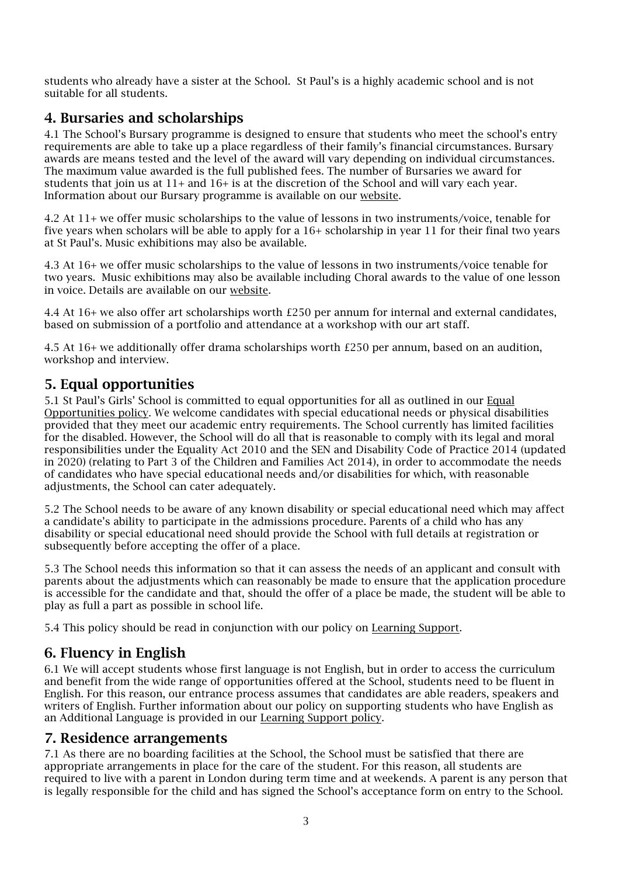students who already have a sister at the School. St Paul's is a highly academic school and is not suitable for all students.

## 4. Bursaries and scholarships

4.1 The School's Bursary programme is designed to ensure that students who meet the school's entry requirements are able to take up a place regardless of their family's financial circumstances. Bursary awards are means tested and the level of the award will vary depending on individual circumstances. The maximum value awarded is the full published fees. The number of Bursaries we award for students that join us at 11+ and 16+ is at the discretion of the School and will vary each year. Information about our Bursary programme is available on our [website.](http://www.spgs.org/admissions/bursaries/)

4.2 At 11+ we offer music scholarships to the value of lessons in two instruments/voice, tenable for five years when scholars will be able to apply for a 16+ scholarship in year 11 for their final two years at St Paul's. Music exhibitions may also be available.

4.3 At 16+ we offer music scholarships to the value of lessons in two instruments/voice tenable for two years. Music exhibitions may also be available including Choral awards to the value of one lesson in voice. Details are available on our [website.](http://www.spgs.org/admissions/entry-at-11/scholarships/)

4.4 At 16+ we also offer art scholarships worth £250 per annum for internal and external candidates, based on submission of a portfolio and attendance at a workshop with our art staff.

4.5 At 16+ we additionally offer drama scholarships worth £250 per annum, based on an audition, workshop and interview.

#### 5. Equal opportunities

5.1 St Paul's Girls' School is committed to equal opportunities for all as outlined in our [Equal](http://spgs.org/school-policies/)  [Opportunities policy.](http://spgs.org/school-policies/) We welcome candidates with special educational needs or physical disabilities provided that they meet our academic entry requirements. The School currently has limited facilities for the disabled. However, the School will do all that is reasonable to comply with its legal and moral responsibilities under the Equality Act 2010 and the SEN and Disability Code of Practice 2014 (updated in 2020) (relating to Part 3 of the Children and Families Act 2014), in order to accommodate the needs of candidates who have special educational needs and/or disabilities for which, with reasonable adjustments, the School can cater adequately.

5.2 The School needs to be aware of any known disability or special educational need which may affect a candidate's ability to participate in the admissions procedure. Parents of a child who has any disability or special educational need should provide the School with full details at registration or subsequently before accepting the offer of a place.

5.3 The School needs this information so that it can assess the needs of an applicant and consult with parents about the adjustments which can reasonably be made to ensure that the application procedure is accessible for the candidate and that, should the offer of a place be made, the student will be able to play as full a part as possible in school life.

5.4 This policy should be read in conjunction with our policy on [Learning Support.](http://www.spgs.org/school-policies)

### 6. Fluency in English

6.1 We will accept students whose first language is not English, but in order to access the curriculum and benefit from the wide range of opportunities offered at the School, students need to be fluent in English. For this reason, our entrance process assumes that candidates are able readers, speakers and writers of English. Further information about our policy on supporting students who have English as an Additional Language is provided in our [Learning Support policy.](http://www.spgs.org/school-policies/)

#### 7. Residence arrangements

7.1 As there are no boarding facilities at the School, the School must be satisfied that there are appropriate arrangements in place for the care of the student. For this reason, all students are required to live with a parent in London during term time and at weekends. A parent is any person that is legally responsible for the child and has signed the School's acceptance form on entry to the School.